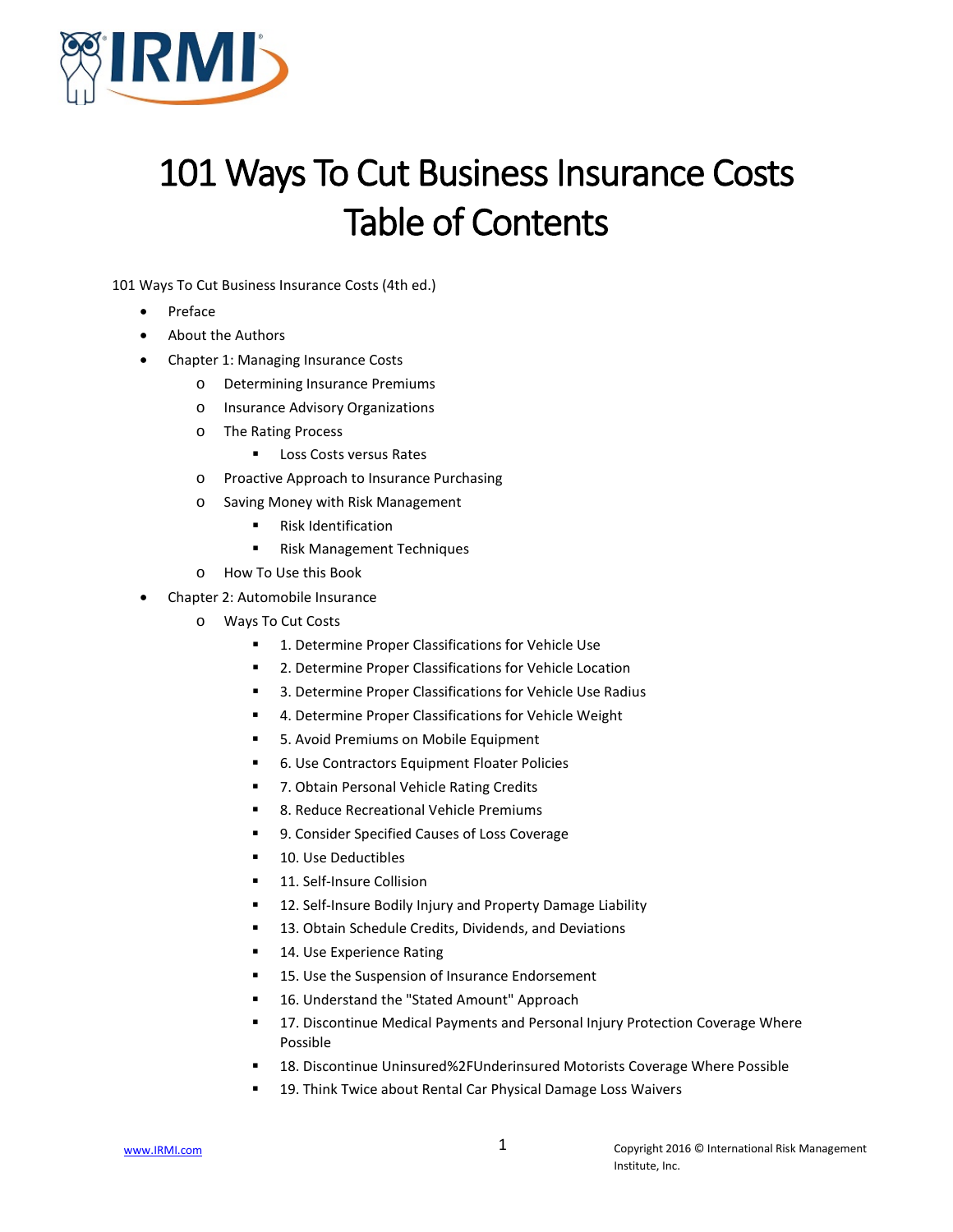

## 101 Ways To Cut Business Insurance Costs Table of Contents

101 Ways To Cut Business Insurance Costs (4th ed.)

- Preface
- About the Authors
- Chapter 1: Managing Insurance Costs
	- o Determining Insurance Premiums
	- o Insurance Advisory Organizations
	- o The Rating Process
		- **Loss Costs versus Rates**
	- o Proactive Approach to Insurance Purchasing
	- o Saving Money with Risk Management
		- Risk Identification
		- **Risk Management Techniques**
	- o How To Use this Book
- Chapter 2: Automobile Insurance
	- o Ways To Cut Costs
		- **1. Determine Proper Classifications for Vehicle Use**
		- **2. Determine Proper Classifications for Vehicle Location**
		- 3. Determine Proper Classifications for Vehicle Use Radius
		- 4. Determine Proper Classifications for Vehicle Weight
		- 5. Avoid Premiums on Mobile Equipment
		- 6. Use Contractors Equipment Floater Policies
		- 7. Obtain Personal Vehicle Rating Credits
		- 8. Reduce Recreational Vehicle Premiums
		- 9. Consider Specified Causes of Loss Coverage
		- **10. Use Deductibles**
		- **11. Self-Insure Collision**
		- **12. Self-Insure Bodily Injury and Property Damage Liability**
		- <sup>1</sup> 13. Obtain Schedule Credits, Dividends, and Deviations
		- 14. Use Experience Rating
		- **15.** Use the Suspension of Insurance Endorsement
		- 16. Understand the "Stated Amount" Approach
		- 17. Discontinue Medical Payments and Personal Injury Protection Coverage Where Possible
		- 18. Discontinue Uninsured%2FUnderinsured Motorists Coverage Where Possible
		- 19. Think Twice about Rental Car Physical Damage Loss Waivers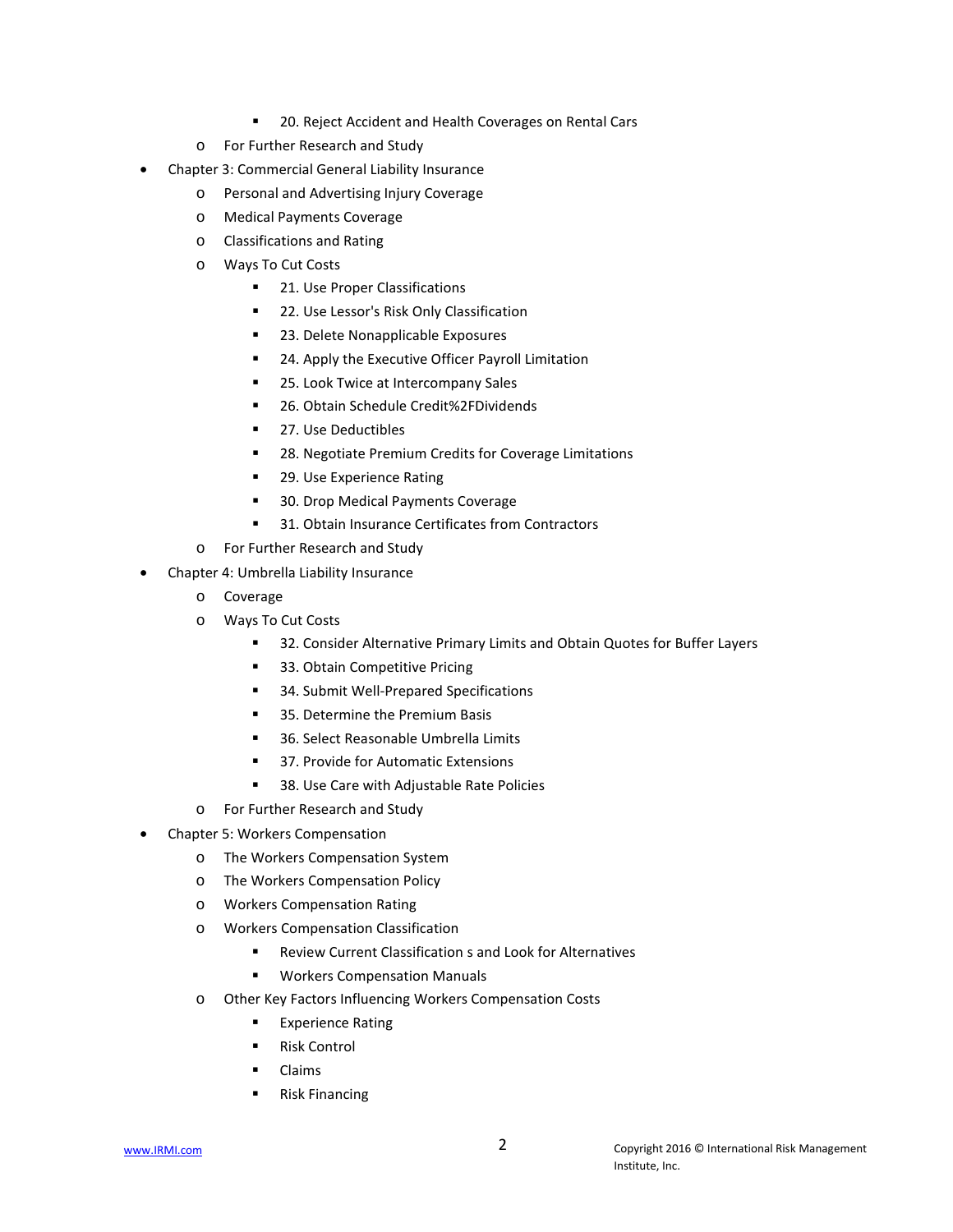- 20. Reject Accident and Health Coverages on Rental Cars
- o For Further Research and Study
- Chapter 3: Commercial General Liability Insurance
	- o Personal and Advertising Injury Coverage
	- o Medical Payments Coverage
	- o Classifications and Rating
	- o Ways To Cut Costs
		- 21. Use Proper Classifications
		- **22. Use Lessor's Risk Only Classification**
		- 23. Delete Nonapplicable Exposures
		- **24. Apply the Executive Officer Payroll Limitation**
		- 25. Look Twice at Intercompany Sales
		- 26. Obtain Schedule Credit%2FDividends
		- **27. Use Deductibles**
		- 28. Negotiate Premium Credits for Coverage Limitations
		- 29. Use Experience Rating
		- 30. Drop Medical Payments Coverage
		- 31. Obtain Insurance Certificates from Contractors
	- o For Further Research and Study
- Chapter 4: Umbrella Liability Insurance
	- o Coverage
	- o Ways To Cut Costs
		- 32. Consider Alternative Primary Limits and Obtain Quotes for Buffer Layers
		- 33. Obtain Competitive Pricing
		- 34. Submit Well-Prepared Specifications
		- 35. Determine the Premium Basis
		- 36. Select Reasonable Umbrella Limits
		- 37. Provide for Automatic Extensions
		- **38. Use Care with Adjustable Rate Policies**
	- o For Further Research and Study
- Chapter 5: Workers Compensation
	- o The Workers Compensation System
	- o The Workers Compensation Policy
	- o Workers Compensation Rating
	- o Workers Compensation Classification
		- Review Current Classification s and Look for Alternatives
		- **■** Workers Compensation Manuals
	- o Other Key Factors Influencing Workers Compensation Costs
		- **Experience Rating**
		- **Risk Control**
		- Claims
		- **Risk Financing**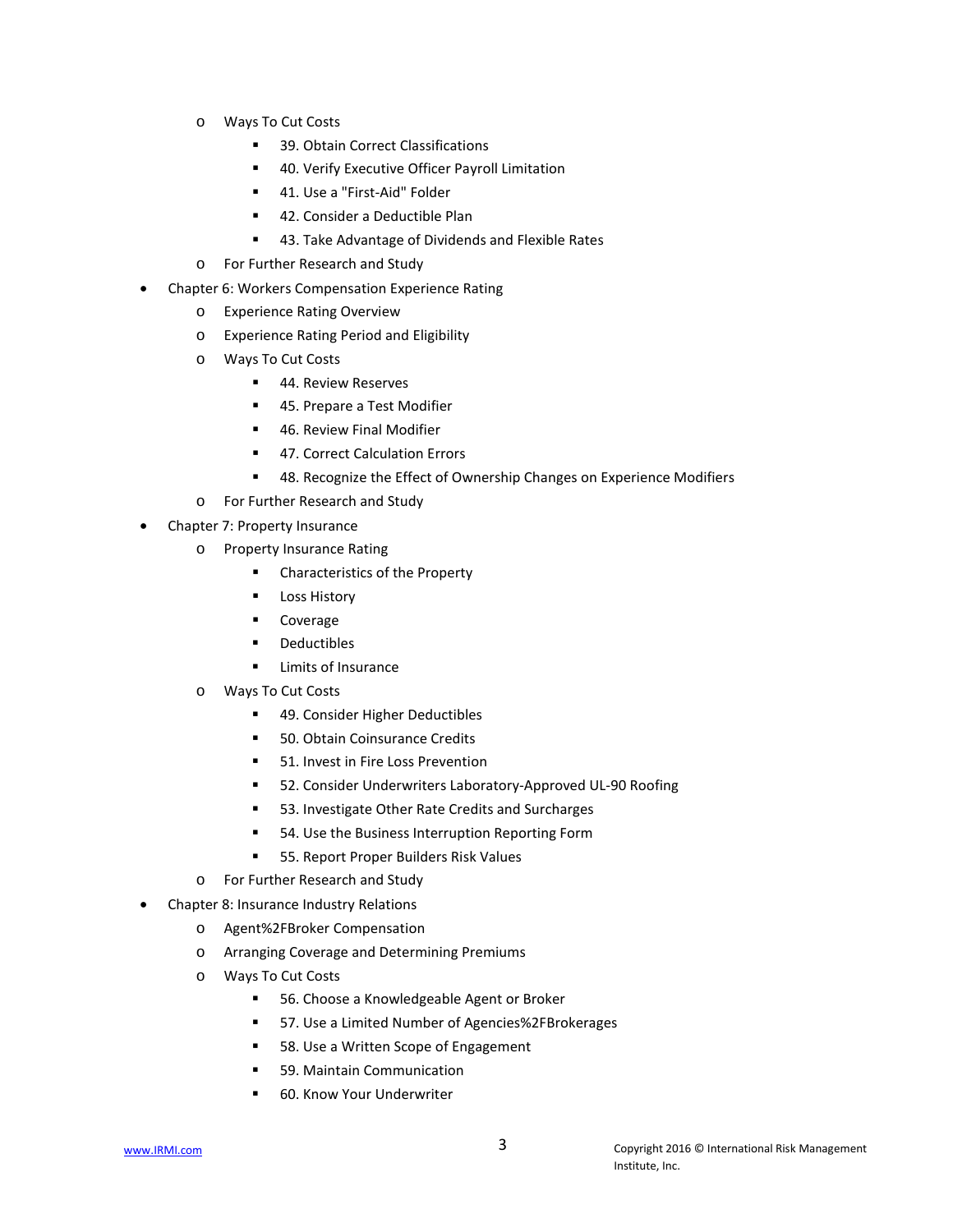- o Ways To Cut Costs
	- 39. Obtain Correct Classifications
	- 40. Verify Executive Officer Payroll Limitation
	- 41. Use a "First-Aid" Folder
	- 42. Consider a Deductible Plan
	- 43. Take Advantage of Dividends and Flexible Rates
- o For Further Research and Study
- Chapter 6: Workers Compensation Experience Rating
	- o Experience Rating Overview
	- o Experience Rating Period and Eligibility
	- o Ways To Cut Costs
		- **44. Review Reserves**
		- 45. Prepare a Test Modifier
		- 46. Review Final Modifier
		- 47. Correct Calculation Errors
		- 48. Recognize the Effect of Ownership Changes on Experience Modifiers
	- o For Further Research and Study
- Chapter 7: Property Insurance
	- o Property Insurance Rating
		- **EXECUTE:** Characteristics of the Property
		- **Loss History**
		- **•** Coverage
		- **•** Deductibles
		- **E** Limits of Insurance
	- o Ways To Cut Costs
		- 49. Consider Higher Deductibles
		- 50. Obtain Coinsurance Credits
		- 51. Invest in Fire Loss Prevention
		- 52. Consider Underwriters Laboratory-Approved UL-90 Roofing
		- **53. Investigate Other Rate Credits and Surcharges**
		- 54. Use the Business Interruption Reporting Form
		- 55. Report Proper Builders Risk Values
	- o For Further Research and Study
- Chapter 8: Insurance Industry Relations
	- o Agent%2FBroker Compensation
	- o Arranging Coverage and Determining Premiums
	- o Ways To Cut Costs
		- 56. Choose a Knowledgeable Agent or Broker
		- 57. Use a Limited Number of Agencies%2FBrokerages
		- 58. Use a Written Scope of Engagement
		- **59. Maintain Communication**
		- 60. Know Your Underwriter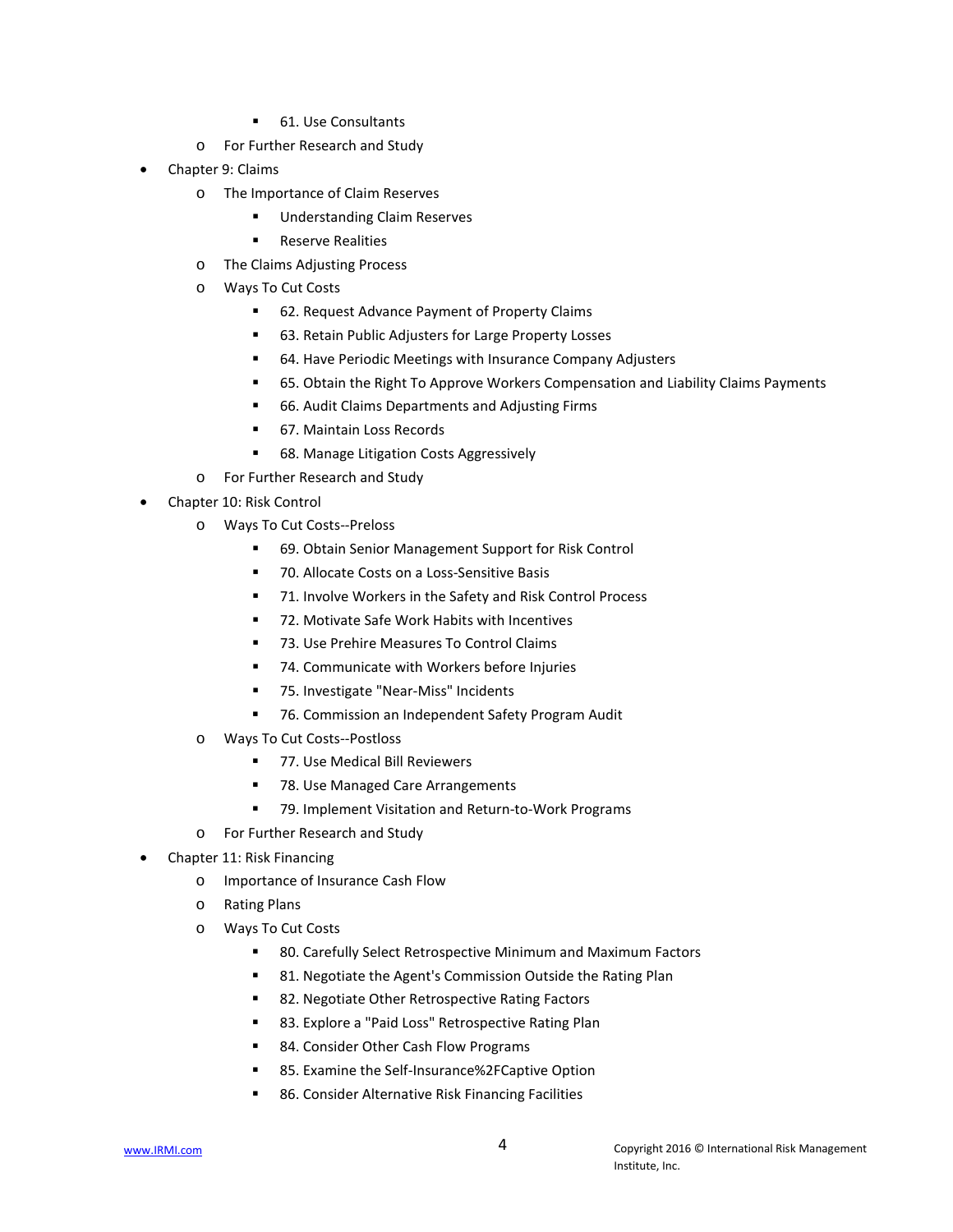- 61. Use Consultants
- o For Further Research and Study
- Chapter 9: Claims
	- o The Importance of Claim Reserves
		- Understanding Claim Reserves
		- **Reserve Realities**
	- o The Claims Adjusting Process
	- o Ways To Cut Costs
		- 62. Request Advance Payment of Property Claims
		- 63. Retain Public Adjusters for Large Property Losses
		- 64. Have Periodic Meetings with Insurance Company Adjusters
		- 65. Obtain the Right To Approve Workers Compensation and Liability Claims Payments
		- 66. Audit Claims Departments and Adjusting Firms
		- 67. Maintain Loss Records
		- 68. Manage Litigation Costs Aggressively
	- o For Further Research and Study
- Chapter 10: Risk Control
	- o Ways To Cut Costs--Preloss
		- 69. Obtain Senior Management Support for Risk Control
		- 70. Allocate Costs on a Loss-Sensitive Basis
		- 71. Involve Workers in the Safety and Risk Control Process
		- 72. Motivate Safe Work Habits with Incentives
		- 73. Use Prehire Measures To Control Claims
		- 74. Communicate with Workers before Injuries
		- **The Physis 15 Sepan** 75. Investigate "Near-Miss" Incidents
		- 76. Commission an Independent Safety Program Audit
	- o Ways To Cut Costs--Postloss
		- 77. Use Medical Bill Reviewers
		- 78. Use Managed Care Arrangements
		- 79. Implement Visitation and Return-to-Work Programs
	- o For Further Research and Study
- Chapter 11: Risk Financing
	- o Importance of Insurance Cash Flow
	- o Rating Plans
	- o Ways To Cut Costs
		- 80. Carefully Select Retrospective Minimum and Maximum Factors
		- 81. Negotiate the Agent's Commission Outside the Rating Plan
		- 82. Negotiate Other Retrospective Rating Factors
		- 83. Explore a "Paid Loss" Retrospective Rating Plan
		- 84. Consider Other Cash Flow Programs
		- 85. Examine the Self-Insurance%2FCaptive Option
		- **86. Consider Alternative Risk Financing Facilities**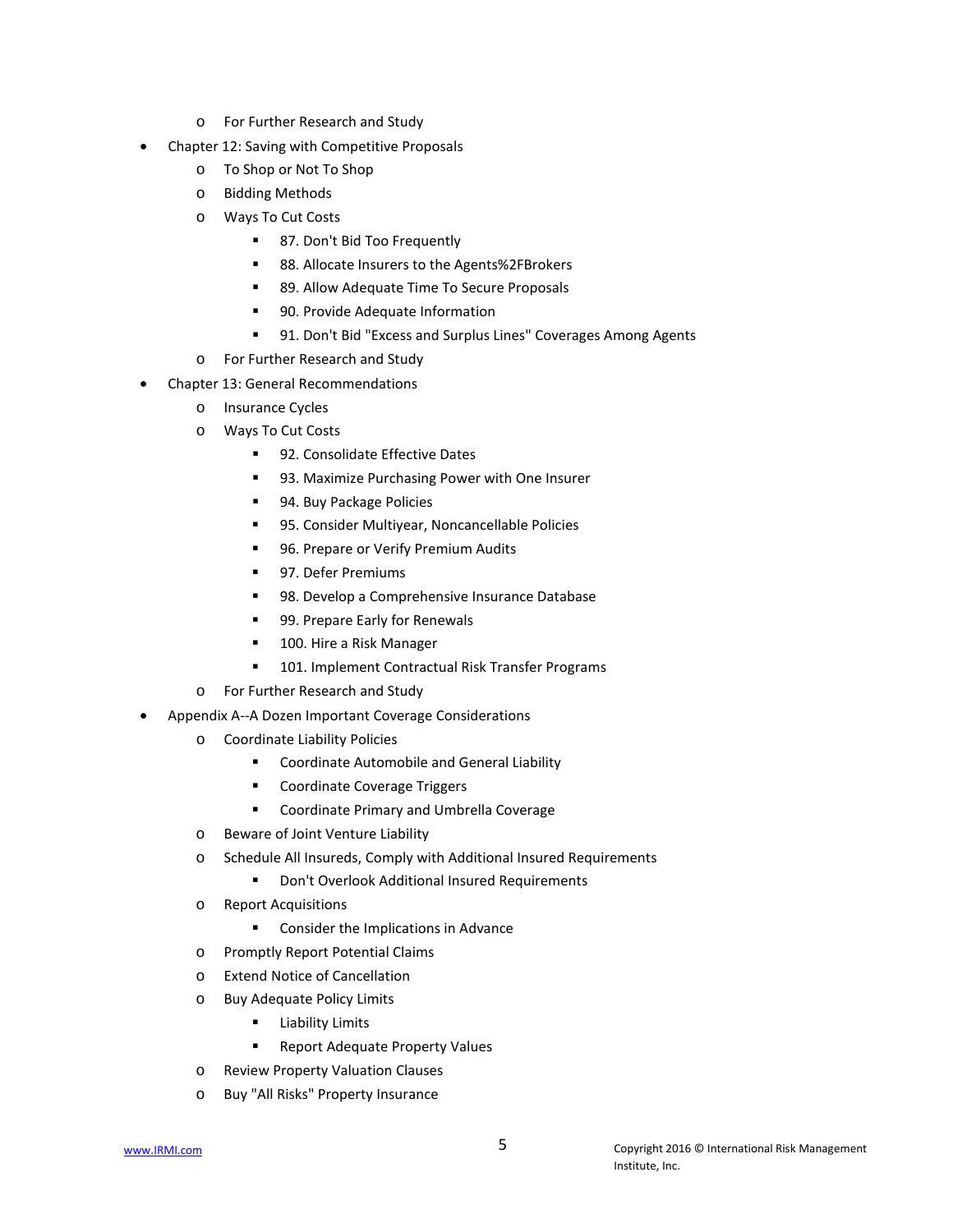- o For Further Research and Study
- Chapter 12: Saving with Competitive Proposals
	- o To Shop or Not To Shop
	- o Bidding Methods
	- o Ways To Cut Costs
		- 87. Don't Bid Too Frequently
		- 88. Allocate Insurers to the Agents%2FBrokers
		- 89. Allow Adequate Time To Secure Proposals
		- 90. Provide Adequate Information
		- 91. Don't Bid "Excess and Surplus Lines" Coverages Among Agents
	- o For Further Research and Study
- Chapter 13: General Recommendations
	- o Insurance Cycles
	- o Ways To Cut Costs
		- 92. Consolidate Effective Dates
		- 93. Maximize Purchasing Power with One Insurer
		- 94. Buy Package Policies
		- 95. Consider Multiyear, Noncancellable Policies
		- 96. Prepare or Verify Premium Audits
		- **97. Defer Premiums**
		- 98. Develop a Comprehensive Insurance Database
		- 99. Prepare Early for Renewals
		- **100. Hire a Risk Manager**
		- **101. Implement Contractual Risk Transfer Programs**
	- o For Further Research and Study
- Appendix A--A Dozen Important Coverage Considerations
	- o Coordinate Liability Policies
		- **EXECOORDINATE:** Coordinate Automobile and General Liability
		- **EXECOORDINATE COVERGER Triggers**
		- Coordinate Primary and Umbrella Coverage
	- o Beware of Joint Venture Liability
	- o Schedule All Insureds, Comply with Additional Insured Requirements
		- **•** Don't Overlook Additional Insured Requirements
	- o Report Acquisitions
		- Consider the Implications in Advance
	- o Promptly Report Potential Claims
	- o Extend Notice of Cancellation
	- o Buy Adequate Policy Limits
		- **Exercise Liability Limits**
		- Report Adequate Property Values
	- o Review Property Valuation Clauses
	- o Buy "All Risks" Property Insurance